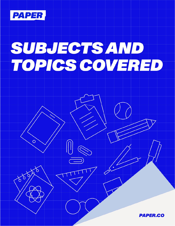

 $\overline{O}$ 

১

888

# SUBJECTS AND<br>TOPICS COVERED

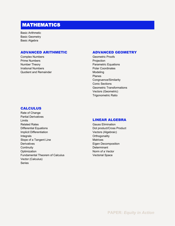# MATHEMATICS

Basic Arithmetic Basic Geometry Basic Algebra

## ADVANCED ARITHMETIC

Complex Numbers Prime Numbers Number Theory Irrational Numbers Quotient and Remainder

## **CALCULUS**

Rate of Change Partial Derivatives Limits Related Rates Differential Equations Implicit Differentiation Integrals Slope of a Tangent Line **Derivatives Continuity Optimization** Fundamental Theorem of Calculus Vector (Calculus) Series

## ADVANCED GEOMETRY

Geometric Proofs Projection Parametric Equations Polar Coordinates Modeling Planes Congruence/Similarity Conic Sections Geometric Transformations Vectors (Geometric) Trigonometric Ratio

## LINEAR ALGEBRA

Gauss Elimination Dot product/Cross Product Vectors (Algebraic) **Orthogonality Matrices** Eigen Decomposition **Determinant** Norm of a Vector Vectorial Space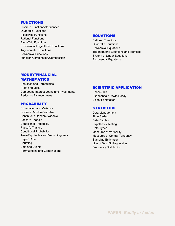## FUNCTIONS

Discrete Functions/Sequences Quadratic Functions Piecewise Functions Rational Functions Even/Odd Functions Exponential/Logarithmic Functions Trigonometric Functions Polynomial Functions Function Combination/Composition

## EQUATIONS

Rational Equations Quadratic Equations Polynomial Equations Trigonometric Equations and Identities System of Linear Equations Exponential Equations

## MONEY/FINANCIAL MATHEMATICS

Annuities and Perpetuities Profit and Loss Compound Interest Loans and Investments Reducing Balance Loans

#### PROBABILITY

Expectation and Variance Discrete Random Variable Continuous Random Variable Pascal's Triangle Conditional Probability Pascal's Triangle Conditional Probability Two-Way Tables and Venn Diagrams Bayes' Rule **Counting** Sets and Events Permutations and Combinations

## SCIENTIFIC APPLICATION

Phase Shift Exponential Growth/Decay Scientific Notation

## **STATISTICS**

Data Management Time Series Data Display Hypothesis Testing Data Types Measures of Variability Measures of Central Tendency Sampling Estimation Line of Best Fit/Regression Frequency Distribution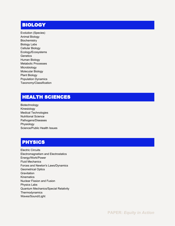# BIOLOGY

Evolution (Species) Animal Biology **Biochemistry** Biology Labs Cellular Biology Ecology/Ecosystems **Genetics** Human Biology Metabolic Processes Microbiology Molecular Biology Plant Biology Population Dynamics Taxonomy/Classification

# HEALTH SCIENCES

Biotechnology Kinesiology Medical Technologies Nutritional Science Pathogens/Diseases Physiology Science/Public Health Issues

# PHYSICS

Electric Circuits Electromagnetism and Electrostatics Energy/Work/Power Fluid Mechanics Forces and Newton's Laws/Dynamics Geometrical Optics **Gravitation Kinematics** Nuclear Fission and Fusion Physics Labs Quantum Mechanics/Special Relativity Thermodynamics Waves/Sound/Light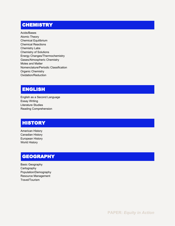# **CHEMISTRY**

Acids/Bases Atomic Theory Chemical Equilibrium Chemical Reactions Chemistry Labs Chemistry of Solutions Energy Changes/Thermochemistry Gases/Atmospheric Chemistry Moles and Matter Nomenclature/Periodic Classification Organic Chemistry Oxidation/Reduction

## ENGLISH

English as a Second Language Essay Writing Literature Studies Reading Comprehension

# **HISTORY**

American History Canadian History European History World History

# **GEOGRAPHY**

Basic Geography **Cartography** Population/Demography Resource Management Travel/Tourism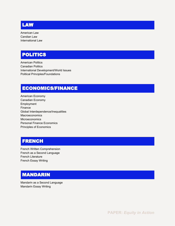## LAW

American Law Candian Law International Law

# POLITICS

American Politics Canadian Politics International Development/World Issues Political Principles/Foundations

# ECONOMICS/FINANCE

American Economy Canadian Economy Employment Finance Global Interdependence/Inequalities Macroeconomics **Microeconomics** Personal Finance Economics Principles of Economics

# **FRENCH**

French Written Comprehension French as a Second Language French Literature French Essay Writing

# MANDARIN

Mandarin as a Second Language Mandarin Essay Writing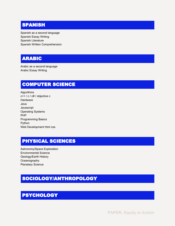# **SPANISH**

Spanish as a second language Spanish Essay Writing Spanish Literature Spanish Written Comprehension

# ARABIC

Arabic as a second language Arabic Essay Writing

# COMPUTER SCIENCE

Algorithms c++ / c / c# / objective c **Hardware** Java **Javascript** Operating Systems PHP Programming Basics Python Web Development html css

# PHYSICAL SCIENCES

Astronomy/Space Exploration Environmental Science Geology/Earth History **Oceanography** Planetary Science

# SOCIOLOGY/ANTHROPOLOGY

# PSYCHOLOGY